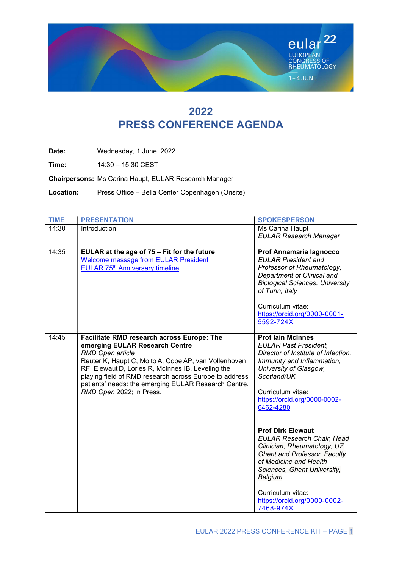

# 2022 PRESS CONFERENCE AGENDA

Date: Wednesday, 1 June, 2022

Time: 14:30 – 15:30 CEST

Chairpersons: Ms Carina Haupt, EULAR Research Manager

Location: Press Office – Bella Center Copenhagen (Onsite)

| <b>TIME</b> | <b>PRESENTATION</b>                                                                                                                                                                                                                                                                                                                                         | <b>SPOKESPERSON</b>                                                                                                                                                                                                                                                       |
|-------------|-------------------------------------------------------------------------------------------------------------------------------------------------------------------------------------------------------------------------------------------------------------------------------------------------------------------------------------------------------------|---------------------------------------------------------------------------------------------------------------------------------------------------------------------------------------------------------------------------------------------------------------------------|
| 14:30       | Introduction                                                                                                                                                                                                                                                                                                                                                | Ms Carina Haupt<br><b>EULAR Research Manager</b>                                                                                                                                                                                                                          |
| 14:35       | EULAR at the age of 75 - Fit for the future<br><b>Welcome message from EULAR President</b><br>EULAR 75th Anniversary timeline                                                                                                                                                                                                                               | Prof Annamaria lagnocco<br><b>EULAR President and</b><br>Professor of Rheumatology,<br>Department of Clinical and<br><b>Biological Sciences, University</b><br>of Turin, Italy<br>Curriculum vitae:<br>https://orcid.org/0000-0001-<br>5592-724X                          |
| 14:45       | Facilitate RMD research across Europe: The<br>emerging EULAR Research Centre<br>RMD Open article<br>Reuter K, Haupt C, Molto A, Cope AP, van Vollenhoven<br>RF, Elewaut D, Lories R, McInnes IB. Leveling the<br>playing field of RMD research across Europe to address<br>patients' needs: the emerging EULAR Research Centre.<br>RMD Open 2022; in Press. | <b>Prof lain McInnes</b><br><b>EULAR Past President.</b><br>Director of Institute of Infection,<br>Immunity and Inflammation,<br>University of Glasgow,<br>Scotland/UK<br>Curriculum vitae:<br>https://orcid.org/0000-0002-<br>6462-4280                                  |
|             |                                                                                                                                                                                                                                                                                                                                                             | <b>Prof Dirk Elewaut</b><br><b>EULAR Research Chair, Head</b><br>Clinician, Rheumatology, UZ<br><b>Ghent and Professor, Faculty</b><br>of Medicine and Health<br>Sciences, Ghent University,<br>Belgium<br>Curriculum vitae:<br>https://orcid.org/0000-0002-<br>7468-974X |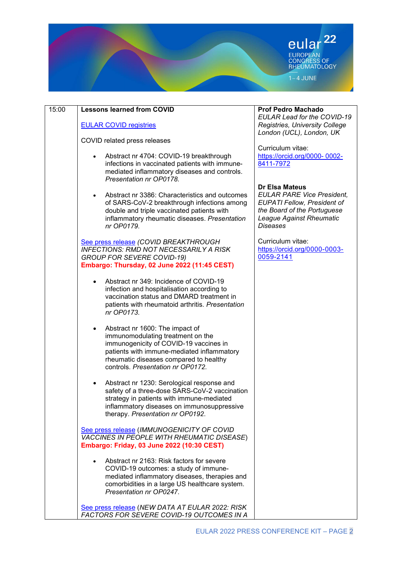

| 15:00 | <b>Lessons learned from COVID</b>                                                                                                                                                                                                                        | <b>Prof Pedro Machado</b><br>EULAR Lead for the COVID-19                                                                                                                       |
|-------|----------------------------------------------------------------------------------------------------------------------------------------------------------------------------------------------------------------------------------------------------------|--------------------------------------------------------------------------------------------------------------------------------------------------------------------------------|
|       | <b>EULAR COVID registries</b>                                                                                                                                                                                                                            | Registries, University College<br>London (UCL), London, UK                                                                                                                     |
|       | COVID related press releases                                                                                                                                                                                                                             | Curriculum vitae:                                                                                                                                                              |
|       | Abstract nr 4704: COVID-19 breakthrough<br>$\bullet$<br>infections in vaccinated patients with immune-<br>mediated inflammatory diseases and controls.<br>Presentation nr OP0178.                                                                        | https://orcid.org/0000-0002-<br>8411-7972                                                                                                                                      |
|       | Abstract nr 3386: Characteristics and outcomes<br>$\bullet$<br>of SARS-CoV-2 breakthrough infections among<br>double and triple vaccinated patients with<br>inflammatory rheumatic diseases. Presentation<br>nr OP0179.                                  | <b>Dr Elsa Mateus</b><br><b>EULAR PARE Vice President,</b><br><b>EUPATI Fellow, President of</b><br>the Board of the Portuguese<br>League Against Rheumatic<br><b>Diseases</b> |
|       | See press release (COVID BREAKTHROUGH<br><b>INFECTIONS: RMD NOT NECESSARILY A RISK</b><br><b>GROUP FOR SEVERE COVID-19)</b><br>Embargo: Thursday, 02 June 2022 (11:45 CEST)                                                                              | Curriculum vitae:<br>https://orcid.org/0000-0003-<br>0059-2141                                                                                                                 |
|       | Abstract nr 349: Incidence of COVID-19<br>infection and hospitalisation according to<br>vaccination status and DMARD treatment in<br>patients with rheumatoid arthritis. Presentation<br>nr OP0173.                                                      |                                                                                                                                                                                |
|       | Abstract nr 1600: The impact of<br>$\bullet$<br>immunomodulating treatment on the<br>immunogenicity of COVID-19 vaccines in<br>patients with immune-mediated inflammatory<br>rheumatic diseases compared to healthy<br>controls. Presentation nr OP0172. |                                                                                                                                                                                |
|       | Abstract nr 1230: Serological response and<br>$\bullet$<br>safety of a three-dose SARS-CoV-2 vaccination<br>strategy in patients with immune-mediated<br>inflammatory diseases on immunosuppressive<br>therapy. Presentation nr OP0192.                  |                                                                                                                                                                                |
|       | See press release (IMMUNOGENICITY OF COVID<br><b>VACCINES IN PEOPLE WITH RHEUMATIC DISEASE)</b><br>Embargo: Friday, 03 June 2022 (10:30 CEST)                                                                                                            |                                                                                                                                                                                |
|       | Abstract nr 2163: Risk factors for severe<br>COVID-19 outcomes: a study of immune-<br>mediated inflammatory diseases, therapies and<br>comorbidities in a large US healthcare system.<br>Presentation nr OP0247.                                         |                                                                                                                                                                                |
|       | See press release (NEW DATA AT EULAR 2022: RISK<br><b>FACTORS FOR SEVERE COVID-19 OUTCOMES IN A</b>                                                                                                                                                      |                                                                                                                                                                                |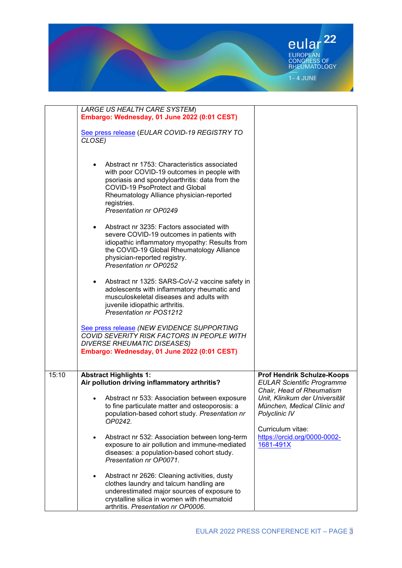

|       | LARGE US HEALTH CARE SYSTEM)                                                                 |                                   |
|-------|----------------------------------------------------------------------------------------------|-----------------------------------|
|       | Embargo: Wednesday, 01 June 2022 (0:01 CEST)                                                 |                                   |
|       |                                                                                              |                                   |
|       | See press release (EULAR COVID-19 REGISTRY TO                                                |                                   |
|       | CLOSE)                                                                                       |                                   |
|       |                                                                                              |                                   |
|       |                                                                                              |                                   |
|       | Abstract nr 1753: Characteristics associated                                                 |                                   |
|       | with poor COVID-19 outcomes in people with<br>psoriasis and spondyloarthritis: data from the |                                   |
|       | COVID-19 PsoProtect and Global                                                               |                                   |
|       | Rheumatology Alliance physician-reported                                                     |                                   |
|       | registries.                                                                                  |                                   |
|       | Presentation nr OP0249                                                                       |                                   |
|       |                                                                                              |                                   |
|       | Abstract nr 3235: Factors associated with<br>$\bullet$                                       |                                   |
|       | severe COVID-19 outcomes in patients with                                                    |                                   |
|       | idiopathic inflammatory myopathy: Results from                                               |                                   |
|       | the COVID-19 Global Rheumatology Alliance                                                    |                                   |
|       | physician-reported registry.                                                                 |                                   |
|       | <b>Presentation nr OP0252</b>                                                                |                                   |
|       |                                                                                              |                                   |
|       | Abstract nr 1325: SARS-CoV-2 vaccine safety in                                               |                                   |
|       | adolescents with inflammatory rheumatic and                                                  |                                   |
|       | musculoskeletal diseases and adults with                                                     |                                   |
|       | juvenile idiopathic arthritis.                                                               |                                   |
|       | Presentation nr POS1212                                                                      |                                   |
|       |                                                                                              |                                   |
|       | See press release (NEW EVIDENCE SUPPORTING                                                   |                                   |
|       | COVID SEVERITY RISK FACTORS IN PEOPLE WITH                                                   |                                   |
|       | <b>DIVERSE RHEUMATIC DISEASES)</b>                                                           |                                   |
|       | Embargo: Wednesday, 01 June 2022 (0:01 CEST)                                                 |                                   |
|       |                                                                                              |                                   |
| 15:10 | <b>Abstract Highlights 1:</b>                                                                | <b>Prof Hendrik Schulze-Koops</b> |
|       | Air pollution driving inflammatory arthritis?                                                | <b>EULAR Scientific Programme</b> |
|       |                                                                                              | Chair, Head of Rheumatism         |
|       | Abstract nr 533: Association between exposure                                                | Unit, Klinikum der Universität    |
|       | to fine particulate matter and osteoporosis: a                                               | München, Medical Clinic and       |
|       | population-based cohort study. Presentation nr                                               | Polyclinic IV                     |
|       | OP0242.                                                                                      |                                   |
|       |                                                                                              | Curriculum vitae:                 |
|       | Abstract nr 532: Association between long-term<br>$\bullet$                                  | https://orcid.org/0000-0002-      |
|       | exposure to air pollution and immune-mediated                                                | 1681-491X                         |
|       | diseases: a population-based cohort study.                                                   |                                   |
|       | Presentation nr OP0071.                                                                      |                                   |
|       |                                                                                              |                                   |
|       | Abstract nr 2626: Cleaning activities, dusty                                                 |                                   |
|       | clothes laundry and talcum handling are<br>underestimated major sources of exposure to       |                                   |
|       | crystalline silica in women with rheumatoid                                                  |                                   |
|       | arthritis. Presentation nr OP0006.                                                           |                                   |
|       |                                                                                              |                                   |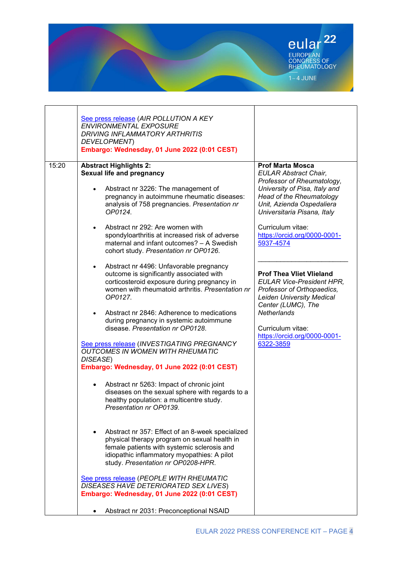

|       | See press release (AIR POLLUTION A KEY<br><b>ENVIRONMENTAL EXPOSURE</b><br><b>DRIVING INFLAMMATORY ARTHRITIS</b><br>DEVELOPMENT)<br>Embargo: Wednesday, 01 June 2022 (0:01 CEST)                                                                                                                                                                                                                           |                                                                                                                                                                                                                                                                                                                                                                                                                                                                                                                                                |
|-------|------------------------------------------------------------------------------------------------------------------------------------------------------------------------------------------------------------------------------------------------------------------------------------------------------------------------------------------------------------------------------------------------------------|------------------------------------------------------------------------------------------------------------------------------------------------------------------------------------------------------------------------------------------------------------------------------------------------------------------------------------------------------------------------------------------------------------------------------------------------------------------------------------------------------------------------------------------------|
| 15:20 | <b>Abstract Highlights 2:</b><br><b>Sexual life and pregnancy</b><br>Abstract nr 3226: The management of<br>pregnancy in autoimmune rheumatic diseases:<br>analysis of 758 pregnancies. Presentation nr<br>OP0124.<br>Abstract nr 292: Are women with<br>$\bullet$<br>spondyloarthritis at increased risk of adverse<br>maternal and infant outcomes? - A Swedish<br>cohort study. Presentation nr OP0126. | <b>Prof Marta Mosca</b><br><b>EULAR Abstract Chair,</b><br>Professor of Rheumatology,<br>University of Pisa, Italy and<br><b>Head of the Rheumatology</b><br>Unit, Azienda Ospedaliera<br>Universitaria Pisana, Italy<br>Curriculum vitae:<br>https://orcid.org/0000-0001-<br>5937-4574<br><b>Prof Thea Vliet Vlieland</b><br><b>EULAR Vice-President HPR,</b><br>Professor of Orthopaedics,<br><b>Leiden University Medical</b><br>Center (LUMC), The<br><b>Netherlands</b><br>Curriculum vitae:<br>https://orcid.org/0000-0001-<br>6322-3859 |
|       | Abstract nr 4496: Unfavorable pregnancy<br>٠<br>outcome is significantly associated with<br>corticosteroid exposure during pregnancy in<br>women with rheumatoid arthritis. Presentation nr<br>OP0127.<br>Abstract nr 2846: Adherence to medications<br>during pregnancy in systemic autoimmune<br>disease. Presentation nr OP0128.                                                                        |                                                                                                                                                                                                                                                                                                                                                                                                                                                                                                                                                |
|       | See press release (INVESTIGATING PREGNANCY<br><b>OUTCOMES IN WOMEN WITH RHEUMATIC</b><br>DISEASE)<br>Embargo: Wednesday, 01 June 2022 (0:01 CEST)                                                                                                                                                                                                                                                          |                                                                                                                                                                                                                                                                                                                                                                                                                                                                                                                                                |
|       | Abstract nr 5263: Impact of chronic joint<br>$\bullet$<br>diseases on the sexual sphere with regards to a<br>healthy population: a multicentre study.<br>Presentation nr OP0139.                                                                                                                                                                                                                           |                                                                                                                                                                                                                                                                                                                                                                                                                                                                                                                                                |
|       | Abstract nr 357: Effect of an 8-week specialized<br>physical therapy program on sexual health in<br>female patients with systemic sclerosis and<br>idiopathic inflammatory myopathies: A pilot<br>study. Presentation nr OP0208-HPR.                                                                                                                                                                       |                                                                                                                                                                                                                                                                                                                                                                                                                                                                                                                                                |
|       | See press release (PEOPLE WITH RHEUMATIC<br>DISEASES HAVE DETERIORATED SEX LIVES)<br>Embargo: Wednesday, 01 June 2022 (0:01 CEST)                                                                                                                                                                                                                                                                          |                                                                                                                                                                                                                                                                                                                                                                                                                                                                                                                                                |
|       | Abstract nr 2031: Preconceptional NSAID                                                                                                                                                                                                                                                                                                                                                                    |                                                                                                                                                                                                                                                                                                                                                                                                                                                                                                                                                |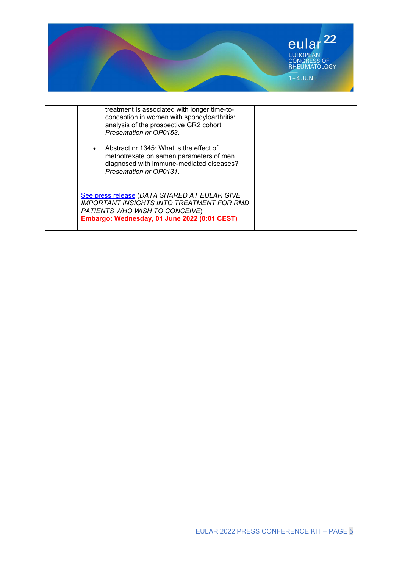

| treatment is associated with longer time-to-<br>conception in women with spondyloarthritis:<br>analysis of the prospective GR2 cohort.<br>Presentation nr OP0153.                  |  |
|------------------------------------------------------------------------------------------------------------------------------------------------------------------------------------|--|
| Abstract nr 1345: What is the effect of<br>methotrexate on semen parameters of men<br>diagnosed with immune-mediated diseases?<br>Presentation nr OP0131.                          |  |
| See press release (DATA SHARED AT EULAR GIVE<br><b>IMPORTANT INSIGHTS INTO TREATMENT FOR RMD</b><br>PATIENTS WHO WISH TO CONCEIVE)<br>Embargo: Wednesday, 01 June 2022 (0:01 CEST) |  |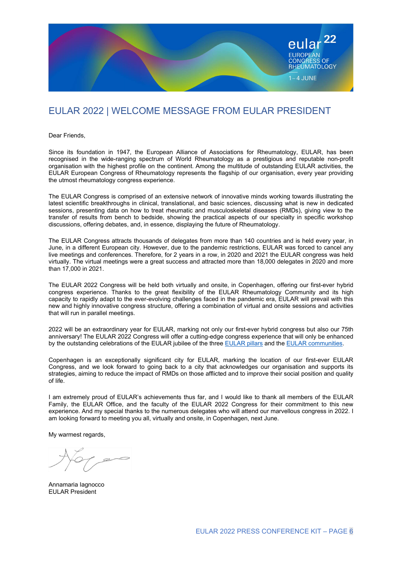

## EULAR 2022 | WELCOME MESSAGE FROM EULAR PRESIDENT

Dear Friends,

Since its foundation in 1947, the European Alliance of Associations for Rheumatology, EULAR, has been recognised in the wide-ranging spectrum of World Rheumatology as a prestigious and reputable non-profit organisation with the highest profile on the continent. Among the multitude of outstanding EULAR activities, the EULAR European Congress of Rheumatology represents the flagship of our organisation, every year providing the utmost rheumatology congress experience.

The EULAR Congress is comprised of an extensive network of innovative minds working towards illustrating the latest scientific breakthroughs in clinical, translational, and basic sciences, discussing what is new in dedicated sessions, presenting data on how to treat rheumatic and musculoskeletal diseases (RMDs), giving view to the transfer of results from bench to bedside, showing the practical aspects of our specialty in specific workshop discussions, offering debates, and, in essence, displaying the future of Rheumatology.

The EULAR Congress attracts thousands of delegates from more than 140 countries and is held every year, in June, in a different European city. However, due to the pandemic restrictions, EULAR was forced to cancel any live meetings and conferences. Therefore, for 2 years in a row, in 2020 and 2021 the EULAR congress was held virtually. The virtual meetings were a great success and attracted more than 18,000 delegates in 2020 and more than 17,000 in 2021.

The EULAR 2022 Congress will be held both virtually and onsite, in Copenhagen, offering our first-ever hybrid congress experience. Thanks to the great flexibility of the EULAR Rheumatology Community and its high capacity to rapidly adapt to the ever-evolving challenges faced in the pandemic era, EULAR will prevail with this new and highly innovative congress structure, offering a combination of virtual and onsite sessions and activities that will run in parallel meetings.

2022 will be an extraordinary year for EULAR, marking not only our first-ever hybrid congress but also our 75th anniversary! The EULAR 2022 Congress will offer a cutting-edge congress experience that will only be enhanced by the outstanding celebrations of the EULAR jubilee of the three EULAR pillars and the EULAR communities.

Copenhagen is an exceptionally significant city for EULAR, marking the location of our first-ever EULAR Congress, and we look forward to going back to a city that acknowledges our organisation and supports its strategies, aiming to reduce the impact of RMDs on those afflicted and to improve their social position and quality of life.

I am extremely proud of EULAR's achievements thus far, and I would like to thank all members of the EULAR Family, the EULAR Office, and the faculty of the EULAR 2022 Congress for their commitment to this new experience. And my special thanks to the numerous delegates who will attend our marvellous congress in 2022. I am looking forward to meeting you all, virtually and onsite, in Copenhagen, next June.

My warmest regards,

Annamaria Iagnocco EULAR President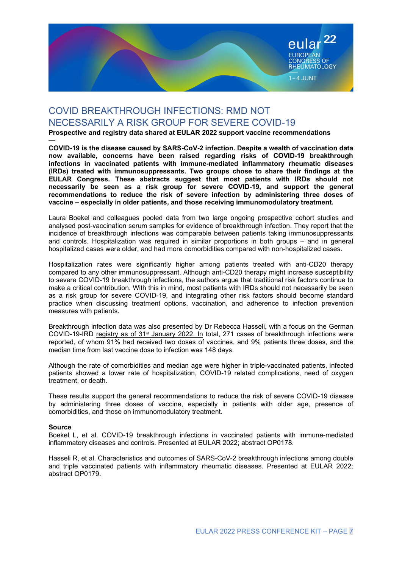

# COVID BREAKTHROUGH INFECTIONS: RMD NOT NECESSARILY A RISK GROUP FOR SEVERE COVID-19

Prospective and registry data shared at EULAR 2022 support vaccine recommendations

— COVID-19 is the disease caused by SARS-CoV-2 infection. Despite a wealth of vaccination data now available, concerns have been raised regarding risks of COVID-19 breakthrough infections in vaccinated patients with immune-mediated inflammatory rheumatic diseases (IRDs) treated with immunosuppressants. Two groups chose to share their findings at the EULAR Congress. These abstracts suggest that most patients with IRDs should not necessarily be seen as a risk group for severe COVID-19, and support the general recommendations to reduce the risk of severe infection by administering three doses of vaccine – especially in older patients, and those receiving immunomodulatory treatment.

Laura Boekel and colleagues pooled data from two large ongoing prospective cohort studies and analysed post-vaccination serum samples for evidence of breakthrough infection. They report that the incidence of breakthrough infections was comparable between patients taking immunosuppressants and controls. Hospitalization was required in similar proportions in both groups – and in general hospitalized cases were older, and had more comorbidities compared with non-hospitalized cases.

Hospitalization rates were significantly higher among patients treated with anti-CD20 therapy compared to any other immunosuppressant. Although anti-CD20 therapy might increase susceptibility to severe COVID-19 breakthrough infections, the authors argue that traditional risk factors continue to make a critical contribution. With this in mind, most patients with IRDs should not necessarily be seen as a risk group for severe COVID-19, and integrating other risk factors should become standard practice when discussing treatment options, vaccination, and adherence to infection prevention measures with patients.

Breakthrough infection data was also presented by Dr Rebecca Hasseli, with a focus on the German COVID-19-IRD registry as of 31<sup>st</sup> January 2022. In total, 271 cases of breakthrough infections were reported, of whom 91% had received two doses of vaccines, and 9% patients three doses, and the median time from last vaccine dose to infection was 148 days.

Although the rate of comorbidities and median age were higher in triple-vaccinated patients, infected patients showed a lower rate of hospitalization, COVID-19 related complications, need of oxygen treatment, or death.

These results support the general recommendations to reduce the risk of severe COVID-19 disease by administering three doses of vaccine, especially in patients with older age, presence of comorbidities, and those on immunomodulatory treatment.

#### Source

Boekel L, et al. COVID-19 breakthrough infections in vaccinated patients with immune-mediated inflammatory diseases and controls. Presented at EULAR 2022; abstract OP0178.

Hasseli R, et al. Characteristics and outcomes of SARS-CoV-2 breakthrough infections among double and triple vaccinated patients with inflammatory rheumatic diseases. Presented at EULAR 2022; abstract OP0179.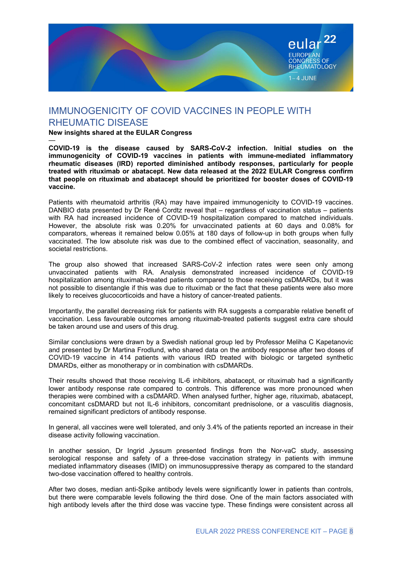

## IMMUNOGENICITY OF COVID VACCINES IN PEOPLE WITH RHEUMATIC DISEASE

New insights shared at the EULAR Congress

—

COVID-19 is the disease caused by SARS-CoV-2 infection. Initial studies on the immunogenicity of COVID-19 vaccines in patients with immune-mediated inflammatory rheumatic diseases (IRD) reported diminished antibody responses, particularly for people treated with rituximab or abatacept. New data released at the 2022 EULAR Congress confirm that people on rituximab and abatacept should be prioritized for booster doses of COVID-19 vaccine.

Patients with rheumatoid arthritis (RA) may have impaired immunogenicity to COVID-19 vaccines. DANBIO data presented by Dr René Cordtz reveal that – regardless of vaccination status – patients with RA had increased incidence of COVID-19 hospitalization compared to matched individuals. However, the absolute risk was 0.20% for unvaccinated patients at 60 days and 0.08% for comparators, whereas it remained below 0.05% at 180 days of follow-up in both groups when fully vaccinated. The low absolute risk was due to the combined effect of vaccination, seasonality, and societal restrictions.

The group also showed that increased SARS-CoV-2 infection rates were seen only among unvaccinated patients with RA. Analysis demonstrated increased incidence of COVID-19 hospitalization among rituximab-treated patients compared to those receiving csDMARDs, but it was not possible to disentangle if this was due to rituximab or the fact that these patients were also more likely to receives glucocorticoids and have a history of cancer-treated patients.

Importantly, the parallel decreasing risk for patients with RA suggests a comparable relative benefit of vaccination. Less favourable outcomes among rituximab-treated patients suggest extra care should be taken around use and users of this drug.

Similar conclusions were drawn by a Swedish national group led by Professor Meliha C Kapetanovic and presented by Dr Martina Frodlund, who shared data on the antibody response after two doses of COVID-19 vaccine in 414 patients with various IRD treated with biologic or targeted synthetic DMARDs, either as monotherapy or in combination with csDMARDs.

Their results showed that those receiving IL-6 inhibitors, abatacept, or rituximab had a significantly lower antibody response rate compared to controls. This difference was more pronounced when therapies were combined with a csDMARD. When analysed further, higher age, rituximab, abatacept, concomitant csDMARD but not IL-6 inhibitors, concomitant prednisolone, or a vasculitis diagnosis, remained significant predictors of antibody response.

In general, all vaccines were well tolerated, and only 3.4% of the patients reported an increase in their disease activity following vaccination.

In another session, Dr Ingrid Jyssum presented findings from the Nor-vaC study, assessing serological response and safety of a three-dose vaccination strategy in patients with immune mediated inflammatory diseases (IMID) on immunosuppressive therapy as compared to the standard two-dose vaccination offered to healthy controls.

After two doses, median anti-Spike antibody levels were significantly lower in patients than controls, but there were comparable levels following the third dose. One of the main factors associated with high antibody levels after the third dose was vaccine type. These findings were consistent across all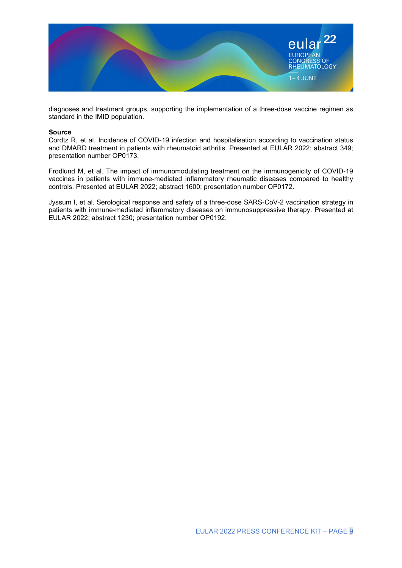

diagnoses and treatment groups, supporting the implementation of a three-dose vaccine regimen as standard in the IMID population.

#### Source

Cordtz R, et al. Incidence of COVID-19 infection and hospitalisation according to vaccination status and DMARD treatment in patients with rheumatoid arthritis. Presented at EULAR 2022; abstract 349; presentation number OP0173.

Frodlund M, et al. The impact of immunomodulating treatment on the immunogenicity of COVID-19 vaccines in patients with immune-mediated inflammatory rheumatic diseases compared to healthy controls. Presented at EULAR 2022; abstract 1600; presentation number OP0172.

Jyssum I, et al. Serological response and safety of a three-dose SARS-CoV-2 vaccination strategy in patients with immune-mediated inflammatory diseases on immunosuppressive therapy. Presented at EULAR 2022; abstract 1230; presentation number OP0192.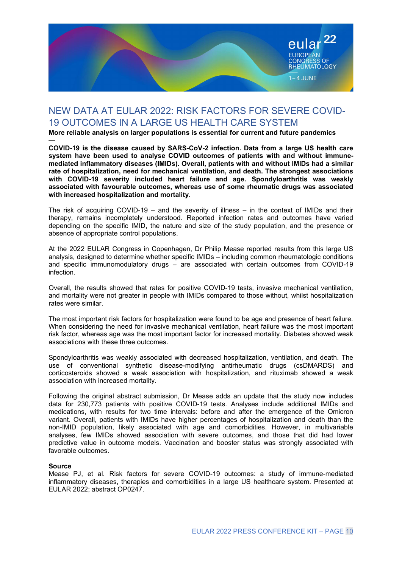

### NEW DATA AT EULAR 2022: RISK FACTORS FOR SEVERE COVID-19 OUTCOMES IN A LARGE US HEALTH CARE SYSTEM

More reliable analysis on larger populations is essential for current and future pandemics

— COVID-19 is the disease caused by SARS-CoV-2 infection. Data from a large US health care system have been used to analyse COVID outcomes of patients with and without immunemediated inflammatory diseases (IMIDs). Overall, patients with and without IMIDs had a similar rate of hospitalization, need for mechanical ventilation, and death. The strongest associations with COVID-19 severity included heart failure and age. Spondyloarthritis was weakly associated with favourable outcomes, whereas use of some rheumatic drugs was associated with increased hospitalization and mortality.

The risk of acquiring COVID-19 – and the severity of illness – in the context of IMIDs and their therapy, remains incompletely understood. Reported infection rates and outcomes have varied depending on the specific IMID, the nature and size of the study population, and the presence or absence of appropriate control populations.

At the 2022 EULAR Congress in Copenhagen, Dr Philip Mease reported results from this large US analysis, designed to determine whether specific IMIDs – including common rheumatologic conditions and specific immunomodulatory drugs – are associated with certain outcomes from COVID-19 infection.

Overall, the results showed that rates for positive COVID-19 tests, invasive mechanical ventilation, and mortality were not greater in people with IMIDs compared to those without, whilst hospitalization rates were similar.

The most important risk factors for hospitalization were found to be age and presence of heart failure. When considering the need for invasive mechanical ventilation, heart failure was the most important risk factor, whereas age was the most important factor for increased mortality. Diabetes showed weak associations with these three outcomes.

Spondyloarthritis was weakly associated with decreased hospitalization, ventilation, and death. The use of conventional synthetic disease-modifying antirheumatic drugs (csDMARDS) and corticosteroids showed a weak association with hospitalization, and rituximab showed a weak association with increased mortality.

Following the original abstract submission, Dr Mease adds an update that the study now includes data for 230,773 patients with positive COVID-19 tests. Analyses include additional IMIDs and medications, with results for two time intervals: before and after the emergence of the Omicron variant. Overall, patients with IMIDs have higher percentages of hospitalization and death than the non-IMID population, likely associated with age and comorbidities. However, in multivariable analyses, few IMIDs showed association with severe outcomes, and those that did had lower predictive value in outcome models. Vaccination and booster status was strongly associated with favorable outcomes.

#### Source

Mease PJ, et al. Risk factors for severe COVID-19 outcomes: a study of immune-mediated inflammatory diseases, therapies and comorbidities in a large US healthcare system. Presented at EULAR 2022; abstract OP0247.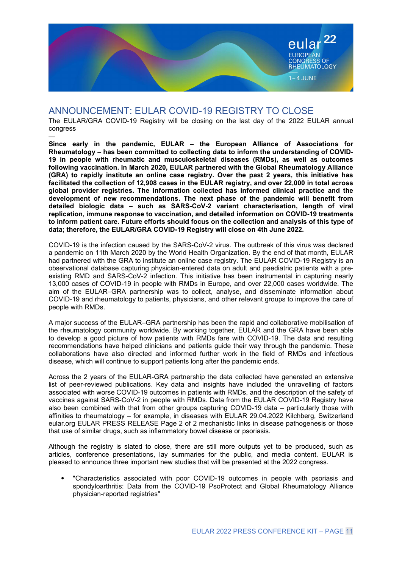

### ANNOUNCEMENT: EULAR COVID-19 REGISTRY TO CLOSE

The EULAR/GRA COVID-19 Registry will be closing on the last day of the 2022 EULAR annual congress —

Since early in the pandemic, EULAR – the European Alliance of Associations for Rheumatology – has been committed to collecting data to inform the understanding of COVID-19 in people with rheumatic and musculoskeletal diseases (RMDs), as well as outcomes following vaccination. In March 2020, EULAR partnered with the Global Rheumatology Alliance (GRA) to rapidly institute an online case registry. Over the past 2 years, this initiative has facilitated the collection of 12,908 cases in the EULAR registry, and over 22,000 in total across global provider registries. The information collected has informed clinical practice and the development of new recommendations. The next phase of the pandemic will benefit from detailed biologic data – such as SARS-CoV-2 variant characterisation, length of viral replication, immune response to vaccination, and detailed information on COVID-19 treatments to inform patient care. Future efforts should focus on the collection and analysis of this type of data; therefore, the EULAR/GRA COVID-19 Registry will close on 4th June 2022.

COVID-19 is the infection caused by the SARS-CoV-2 virus. The outbreak of this virus was declared a pandemic on 11th March 2020 by the World Health Organization. By the end of that month, EULAR had partnered with the GRA to institute an online case registry. The EULAR COVID-19 Registry is an observational database capturing physician-entered data on adult and paediatric patients with a preexisting RMD and SARS-CoV-2 infection. This initiative has been instrumental in capturing nearly 13,000 cases of COVID-19 in people with RMDs in Europe, and over 22,000 cases worldwide. The aim of the EULAR–GRA partnership was to collect, analyse, and disseminate information about COVID-19 and rheumatology to patients, physicians, and other relevant groups to improve the care of people with RMDs.

A major success of the EULAR–GRA partnership has been the rapid and collaborative mobilisation of the rheumatology community worldwide. By working together, EULAR and the GRA have been able to develop a good picture of how patients with RMDs fare with COVID-19. The data and resulting recommendations have helped clinicians and patients guide their way through the pandemic. These collaborations have also directed and informed further work in the field of RMDs and infectious disease, which will continue to support patients long after the pandemic ends.

Across the 2 years of the EULAR-GRA partnership the data collected have generated an extensive list of peer-reviewed publications. Key data and insights have included the unravelling of factors associated with worse COVID-19 outcomes in patients with RMDs, and the description of the safety of vaccines against SARS-CoV-2 in people with RMDs. Data from the EULAR COVID-19 Registry have also been combined with that from other groups capturing COVID-19 data – particularly those with affinities to rheumatology – for example, in diseases with EULAR 29.04.2022 Kilchberg, Switzerland eular.org EULAR PRESS RELEASE Page 2 of 2 mechanistic links in disease pathogenesis or those that use of similar drugs, such as inflammatory bowel disease or psoriasis.

Although the registry is slated to close, there are still more outputs yet to be produced, such as articles, conference presentations, lay summaries for the public, and media content. EULAR is pleased to announce three important new studies that will be presented at the 2022 congress.

• "Characteristics associated with poor COVID-19 outcomes in people with psoriasis and spondyloarthritis: Data from the COVID-19 PsoProtect and Global Rheumatology Alliance physician-reported registries"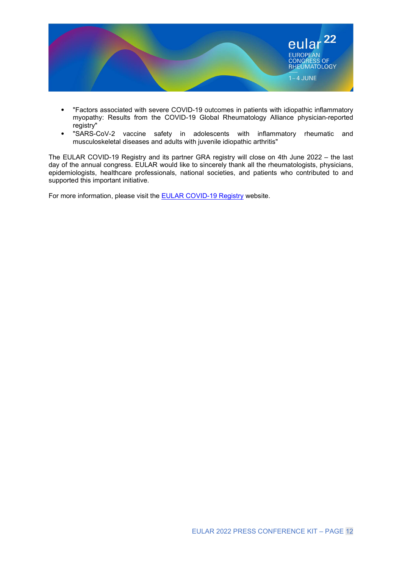

- "Factors associated with severe COVID-19 outcomes in patients with idiopathic inflammatory myopathy: Results from the COVID-19 Global Rheumatology Alliance physician-reported registry"
- "SARS-CoV-2 vaccine safety in adolescents with inflammatory rheumatic and musculoskeletal diseases and adults with juvenile idiopathic arthritis"

The EULAR COVID-19 Registry and its partner GRA registry will close on 4th June 2022 – the last day of the annual congress. EULAR would like to sincerely thank all the rheumatologists, physicians, epidemiologists, healthcare professionals, national societies, and patients who contributed to and supported this important initiative.

For more information, please visit the **EULAR COVID-19 Registry** website.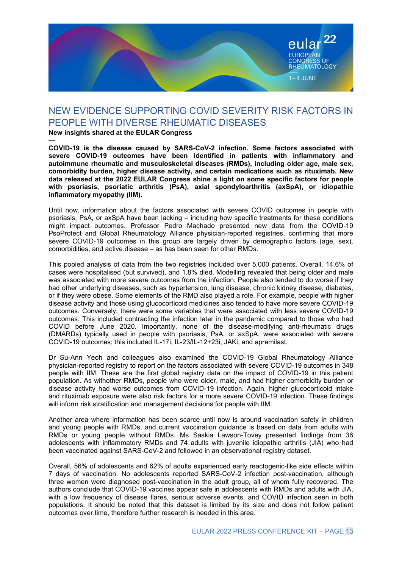

### NEW EVIDENCE SUPPORTING COVID SEVERITY RISK FACTORS IN PEOPLE WITH DIVERSE RHEUMATIC DISEASES

#### New insights shared at the EULAR Congress

—

COVID-19 is the disease caused by SARS-CoV-2 infection. Some factors associated with severe COVID-19 outcomes have been identified in patients with inflammatory and autoimmune rheumatic and musculoskeletal diseases (RMDs), including older age, male sex, comorbidity burden, higher disease activity, and certain medications such as rituximab. New data released at the 2022 EULAR Congress shine a light on some specific factors for people with psoriasis, psoriatic arthritis (PsA), axial spondyloarthritis (axSpA), or idiopathic inflammatory myopathy (IIM).

Until now, information about the factors associated with severe COVID outcomes in people with psoriasis, PsA, or axSpA have been lacking – including how specific treatments for these conditions might impact outcomes. Professor Pedro Machado presented new data from the COVID-19 PsoProtect and Global Rheumatology Alliance physician-reported registries, confirming that more severe COVID-19 outcomes in this group are largely driven by demographic factors (age, sex), comorbidities, and active disease – as has been seen for other RMDs.

This pooled analysis of data from the two registries included over 5,000 patients. Overall, 14.6% of cases were hospitalised (but survived), and 1.8% died. Modelling revealed that being older and male was associated with more severe outcomes from the infection. People also tended to do worse if they had other underlying diseases, such as hypertension, lung disease, chronic kidney disease, diabetes, or if they were obese. Some elements of the RMD also played a role. For example, people with higher disease activity and those using glucocorticoid medicines also tended to have more severe COVID-19 outcomes. Conversely, there were some variables that were associated with less severe COVID-19 outcomes. This included contracting the infection later in the pandemic compared to those who had COVID before June 2020. Importantly, none of the disease-modifying anti-rheumatic drugs (DMARDs) typically used in people with psoriasis, PsA, or axSpA, were associated with severe COVID-19 outcomes; this included IL-17i, IL-23/IL-12+23i, JAKi, and apremilast.

Dr Su-Ann Yeoh and colleagues also examined the COVID-19 Global Rheumatology Alliance physician-reported registry to report on the factors associated with severe COVID-19 outcomes in 348 people with IIM. These are the first global registry data on the impact of COVID-19 in this patient population. As withother RMDs, people who were older, male, and had higher comorbidity burden or disease activity had worse outcomes from COVID-19 infection. Again, higher glucocorticoid intake and rituximab exposure were also risk factors for a more severe COVID-19 infection. These findings will inform risk stratification and management decisions for people with IIM.

Another area where information has been scarce until now is around vaccination safety in children and young people with RMDs, and current vaccination guidance is based on data from adults with RMDs or young people without RMDs. Ms Saskia Lawson-Tovey presented findings from 36 adolescents with inflammatory RMDs and 74 adults with juvenile idiopathic arthritis (JIA) who had been vaccinated against SARS-CoV-2 and followed in an observational registry dataset.

Overall, 56% of adolescents and 62% of adults experienced early reactogenic-like side effects within 7 days of vaccination. No adolescents reported SARS-CoV-2 infection post-vaccination, although three women were diagnosed post-vaccination in the adult group, all of whom fully recovered. The authors conclude that COVID-19 vaccines appear safe in adolescents with RMDs and adults with JIA, with a low frequency of disease flares, serious adverse events, and COVID infection seen in both populations. It should be noted that this dataset is limited by its size and does not follow patient outcomes over time, therefore further research is needed in this area.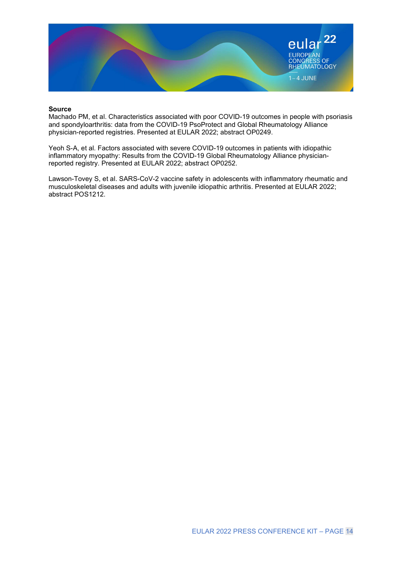

#### Source

Machado PM, et al. Characteristics associated with poor COVID-19 outcomes in people with psoriasis and spondyloarthritis: data from the COVID-19 PsoProtect and Global Rheumatology Alliance physician-reported registries. Presented at EULAR 2022; abstract OP0249.

Yeoh S-A, et al. Factors associated with severe COVID-19 outcomes in patients with idiopathic inflammatory myopathy: Results from the COVID-19 Global Rheumatology Alliance physicianreported registry. Presented at EULAR 2022; abstract OP0252.

Lawson-Tovey S, et al. SARS-CoV-2 vaccine safety in adolescents with inflammatory rheumatic and musculoskeletal diseases and adults with juvenile idiopathic arthritis. Presented at EULAR 2022; abstract POS1212.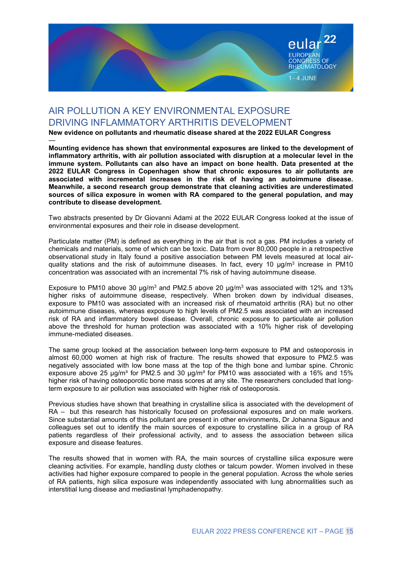

## AIR POLLUTION A KEY ENVIRONMENTAL EXPOSURE DRIVING INFLAMMATORY ARTHRITIS DEVELOPMENT

New evidence on pollutants and rheumatic disease shared at the 2022 EULAR Congress

— Mounting evidence has shown that environmental exposures are linked to the development of inflammatory arthritis, with air pollution associated with disruption at a molecular level in the immune system. Pollutants can also have an impact on bone health. Data presented at the 2022 EULAR Congress in Copenhagen show that chronic exposures to air pollutants are associated with incremental increases in the risk of having an autoimmune disease. Meanwhile, a second research group demonstrate that cleaning activities are underestimated sources of silica exposure in women with RA compared to the general population, and may contribute to disease development.

Two abstracts presented by Dr Giovanni Adami at the 2022 EULAR Congress looked at the issue of environmental exposures and their role in disease development.

Particulate matter (PM) is defined as everything in the air that is not a gas. PM includes a variety of chemicals and materials, some of which can be toxic. Data from over 80,000 people in a retrospective observational study in Italy found a positive association between PM levels measured at local airquality stations and the risk of autoimmune diseases. In fact, every 10  $\mu$ g/m<sup>3</sup> increase in PM10 concentration was associated with an incremental 7% risk of having autoimmune disease.

Exposure to PM10 above 30  $\mu$ g/m<sup>3</sup> and PM2.5 above 20  $\mu$ g/m<sup>3</sup> was associated with 12% and 13% higher risks of autoimmune disease, respectively. When broken down by individual diseases, exposure to PM10 was associated with an increased risk of rheumatoid arthritis (RA) but no other autoimmune diseases, whereas exposure to high levels of PM2.5 was associated with an increased risk of RA and inflammatory bowel disease. Overall, chronic exposure to particulate air pollution above the threshold for human protection was associated with a 10% higher risk of developing immune-mediated diseases.

The same group looked at the association between long-term exposure to PM and osteoporosis in almost 60,000 women at high risk of fracture. The results showed that exposure to PM2.5 was negatively associated with low bone mass at the top of the thigh bone and lumbar spine. Chronic exposure above 25 μg/m<sup>3</sup> for PM2.5 and 30 μg/m<sup>3</sup> for PM10 was associated with a 16% and 15% higher risk of having osteoporotic bone mass scores at any site. The researchers concluded that longterm exposure to air pollution was associated with higher risk of osteoporosis.

Previous studies have shown that breathing in crystalline silica is associated with the development of RA – but this research has historically focused on professional exposures and on male workers. Since substantial amounts of this pollutant are present in other environments, Dr Johanna Sigaux and colleagues set out to identify the main sources of exposure to crystalline silica in a group of RA patients regardless of their professional activity, and to assess the association between silica exposure and disease features.

The results showed that in women with RA, the main sources of crystalline silica exposure were cleaning activities. For example, handling dusty clothes or talcum powder. Women involved in these activities had higher exposure compared to people in the general population. Across the whole series of RA patients, high silica exposure was independently associated with lung abnormalities such as interstitial lung disease and mediastinal lymphadenopathy.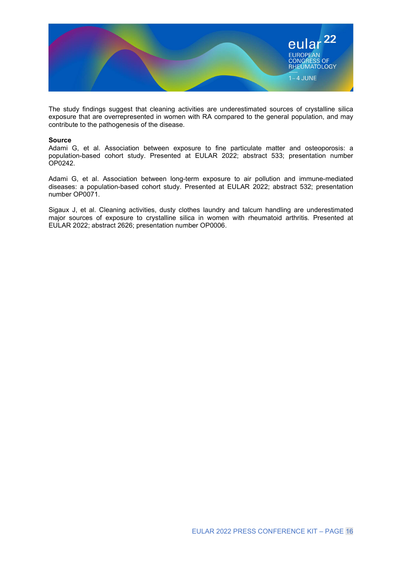

The study findings suggest that cleaning activities are underestimated sources of crystalline silica exposure that are overrepresented in women with RA compared to the general population, and may contribute to the pathogenesis of the disease.

#### Source

Adami G, et al. Association between exposure to fine particulate matter and osteoporosis: a population-based cohort study. Presented at EULAR 2022; abstract 533; presentation number OP0242.

Adami G, et al. Association between long-term exposure to air pollution and immune-mediated diseases: a population-based cohort study. Presented at EULAR 2022; abstract 532; presentation number OP0071.

Sigaux J, et al. Cleaning activities, dusty clothes laundry and talcum handling are underestimated major sources of exposure to crystalline silica in women with rheumatoid arthritis. Presented at EULAR 2022; abstract 2626; presentation number OP0006.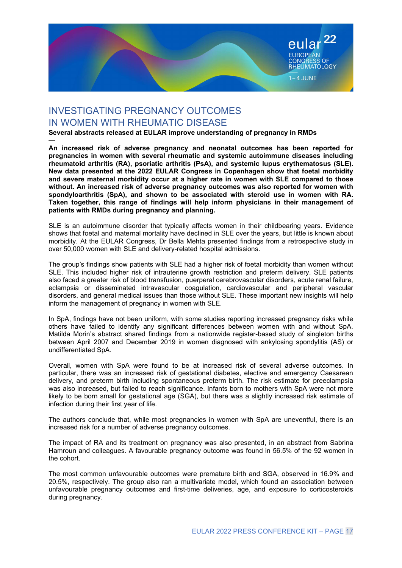

### INVESTIGATING PREGNANCY OUTCOMES IN WOMEN WITH RHEUMATIC DISEASE

Several abstracts released at EULAR improve understanding of pregnancy in RMDs

— An increased risk of adverse pregnancy and neonatal outcomes has been reported for pregnancies in women with several rheumatic and systemic autoimmune diseases including rheumatoid arthritis (RA), psoriatic arthritis (PsA), and systemic lupus erythematosus (SLE). New data presented at the 2022 EULAR Congress in Copenhagen show that foetal morbidity and severe maternal morbidity occur at a higher rate in women with SLE compared to those without. An increased risk of adverse pregnancy outcomes was also reported for women with spondyloarthritis (SpA), and shown to be associated with steroid use in women with RA. Taken together, this range of findings will help inform physicians in their management of patients with RMDs during pregnancy and planning.

SLE is an autoimmune disorder that typically affects women in their childbearing years. Evidence shows that foetal and maternal mortality have declined in SLE over the years, but little is known about morbidity. At the EULAR Congress, Dr Bella Mehta presented findings from a retrospective study in over 50,000 women with SLE and delivery-related hospital admissions.

The group's findings show patients with SLE had a higher risk of foetal morbidity than women without SLE. This included higher risk of intrauterine growth restriction and preterm delivery. SLE patients also faced a greater risk of blood transfusion, puerperal cerebrovascular disorders, acute renal failure, eclampsia or disseminated intravascular coagulation, cardiovascular and peripheral vascular disorders, and general medical issues than those without SLE. These important new insights will help inform the management of pregnancy in women with SLE.

In SpA, findings have not been uniform, with some studies reporting increased pregnancy risks while others have failed to identify any significant differences between women with and without SpA. Matilda Morin's abstract shared findings from a nationwide register-based study of singleton births between April 2007 and December 2019 in women diagnosed with ankylosing spondylitis (AS) or undifferentiated SpA.

Overall, women with SpA were found to be at increased risk of several adverse outcomes. In particular, there was an increased risk of gestational diabetes, elective and emergency Caesarean delivery, and preterm birth including spontaneous preterm birth. The risk estimate for preeclampsia was also increased, but failed to reach significance. Infants born to mothers with SpA were not more likely to be born small for gestational age (SGA), but there was a slightly increased risk estimate of infection during their first year of life.

The authors conclude that, while most pregnancies in women with SpA are uneventful, there is an increased risk for a number of adverse pregnancy outcomes.

The impact of RA and its treatment on pregnancy was also presented, in an abstract from Sabrina Hamroun and colleagues. A favourable pregnancy outcome was found in 56.5% of the 92 women in the cohort.

The most common unfavourable outcomes were premature birth and SGA, observed in 16.9% and 20.5%, respectively. The group also ran a multivariate model, which found an association between unfavourable pregnancy outcomes and first-time deliveries, age, and exposure to corticosteroids during pregnancy.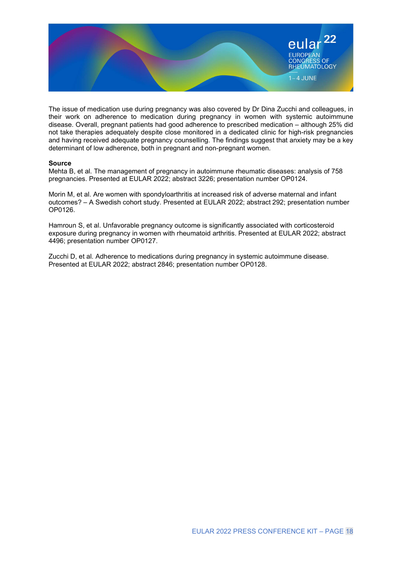

The issue of medication use during pregnancy was also covered by Dr Dina Zucchi and colleagues, in their work on adherence to medication during pregnancy in women with systemic autoimmune disease. Overall, pregnant patients had good adherence to prescribed medication – although 25% did not take therapies adequately despite close monitored in a dedicated clinic for high-risk pregnancies and having received adequate pregnancy counselling. The findings suggest that anxiety may be a key determinant of low adherence, both in pregnant and non-pregnant women.

#### Source

Mehta B, et al. The management of pregnancy in autoimmune rheumatic diseases: analysis of 758 pregnancies. Presented at EULAR 2022; abstract 3226; presentation number OP0124.

Morin M, et al. Are women with spondyloarthritis at increased risk of adverse maternal and infant outcomes? – A Swedish cohort study. Presented at EULAR 2022; abstract 292; presentation number OP0126.

Hamroun S, et al. Unfavorable pregnancy outcome is significantly associated with corticosteroid exposure during pregnancy in women with rheumatoid arthritis. Presented at EULAR 2022; abstract 4496; presentation number OP0127.

Zucchi D, et al. Adherence to medications during pregnancy in systemic autoimmune disease. Presented at EULAR 2022; abstract 2846; presentation number OP0128.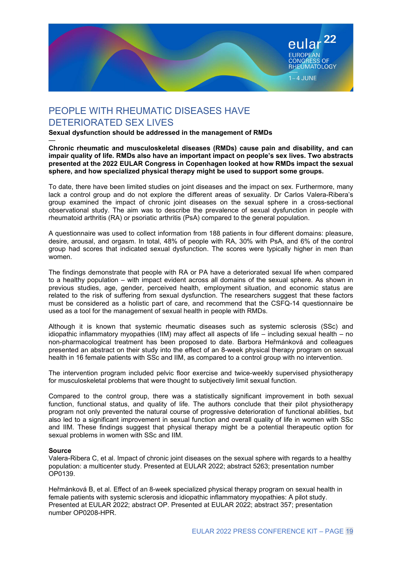

# PEOPLE WITH RHEUMATIC DISEASES HAVE DETERIORATED SEX LIVES

Sexual dysfunction should be addressed in the management of RMDs

— Chronic rheumatic and musculoskeletal diseases (RMDs) cause pain and disability, and can impair quality of life. RMDs also have an important impact on people's sex lives. Two abstracts presented at the 2022 EULAR Congress in Copenhagen looked at how RMDs impact the sexual sphere, and how specialized physical therapy might be used to support some groups.

To date, there have been limited studies on joint diseases and the impact on sex. Furthermore, many lack a control group and do not explore the different areas of sexuality. Dr Carlos Valera-Ribera's group examined the impact of chronic joint diseases on the sexual sphere in a cross-sectional observational study. The aim was to describe the prevalence of sexual dysfunction in people with rheumatoid arthritis (RA) or psoriatic arthritis (PsA) compared to the general population.

A questionnaire was used to collect information from 188 patients in four different domains: pleasure, desire, arousal, and orgasm. In total, 48% of people with RA, 30% with PsA, and 6% of the control group had scores that indicated sexual dysfunction. The scores were typically higher in men than women.

The findings demonstrate that people with RA or PA have a deteriorated sexual life when compared to a healthy population – with impact evident across all domains of the sexual sphere. As shown in previous studies, age, gender, perceived health, employment situation, and economic status are related to the risk of suffering from sexual dysfunction. The researchers suggest that these factors must be considered as a holistic part of care, and recommend that the CSFQ-14 questionnaire be used as a tool for the management of sexual health in people with RMDs.

Although it is known that systemic rheumatic diseases such as systemic sclerosis (SSc) and idiopathic inflammatory myopathies (IIM) may affect all aspects of life – including sexual health – no non-pharmacological treatment has been proposed to date. Barbora Heřmánková and colleagues presented an abstract on their study into the effect of an 8-week physical therapy program on sexual health in 16 female patients with SSc and IIM, as compared to a control group with no intervention.

The intervention program included pelvic floor exercise and twice-weekly supervised physiotherapy for musculoskeletal problems that were thought to subjectively limit sexual function.

Compared to the control group, there was a statistically significant improvement in both sexual function, functional status, and quality of life. The authors conclude that their pilot physiotherapy program not only prevented the natural course of progressive deterioration of functional abilities, but also led to a significant improvement in sexual function and overall quality of life in women with SSc and IIM. These findings suggest that physical therapy might be a potential therapeutic option for sexual problems in women with SSc and IIM.

#### Source

Valera-Ribera C, et al. Impact of chronic joint diseases on the sexual sphere with regards to a healthy population: a multicenter study. Presented at EULAR 2022; abstract 5263; presentation number OP0139.

Heřmánková B, et al. Effect of an 8-week specialized physical therapy program on sexual health in female patients with systemic sclerosis and idiopathic inflammatory myopathies: A pilot study. Presented at EULAR 2022; abstract OP. Presented at EULAR 2022; abstract 357; presentation number OP0208-HPR.